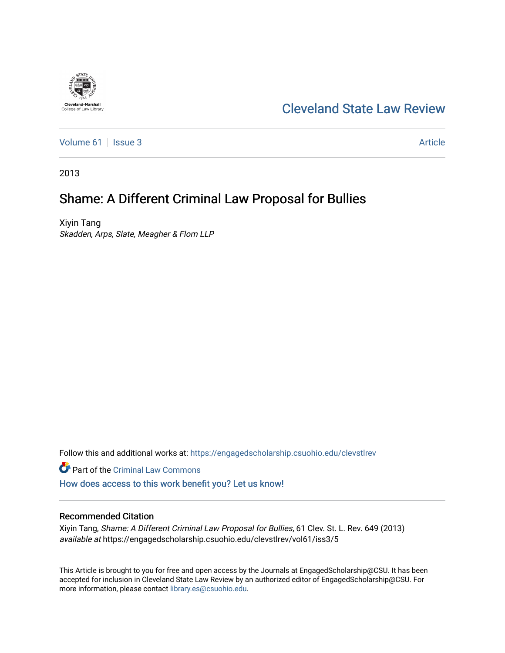# [Cleveland State Law Review](https://engagedscholarship.csuohio.edu/clevstlrev)

[Volume 61](https://engagedscholarship.csuohio.edu/clevstlrev/vol61) | [Issue 3](https://engagedscholarship.csuohio.edu/clevstlrev/vol61/iss3) Article

2013

**Cleveland-Marshall**<br>College of Law Library

# Shame: A Different Criminal Law Proposal for Bullies

Xiyin Tang Skadden, Arps, Slate, Meagher & Flom LLP

Follow this and additional works at: [https://engagedscholarship.csuohio.edu/clevstlrev](https://engagedscholarship.csuohio.edu/clevstlrev?utm_source=engagedscholarship.csuohio.edu%2Fclevstlrev%2Fvol61%2Fiss3%2F5&utm_medium=PDF&utm_campaign=PDFCoverPages)

Part of the [Criminal Law Commons](http://network.bepress.com/hgg/discipline/912?utm_source=engagedscholarship.csuohio.edu%2Fclevstlrev%2Fvol61%2Fiss3%2F5&utm_medium=PDF&utm_campaign=PDFCoverPages) 

[How does access to this work benefit you? Let us know!](http://library.csuohio.edu/engaged/)

# Recommended Citation

Xiyin Tang, Shame: A Different Criminal Law Proposal for Bullies, 61 Clev. St. L. Rev. 649 (2013) available at https://engagedscholarship.csuohio.edu/clevstlrev/vol61/iss3/5

This Article is brought to you for free and open access by the Journals at EngagedScholarship@CSU. It has been accepted for inclusion in Cleveland State Law Review by an authorized editor of EngagedScholarship@CSU. For more information, please contact [library.es@csuohio.edu](mailto:library.es@csuohio.edu).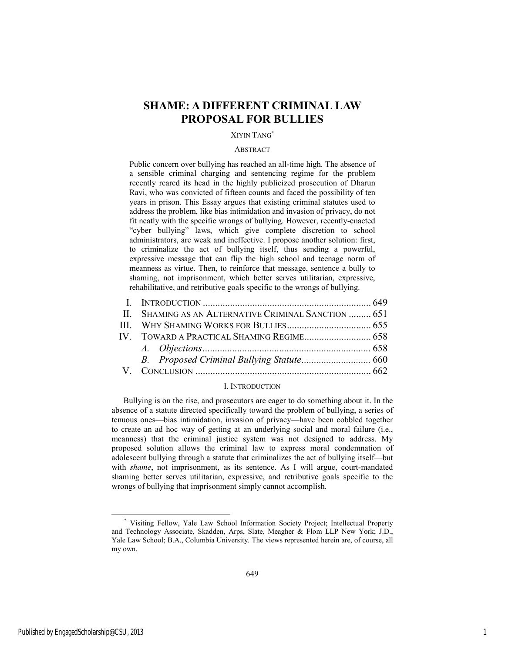# **SHAME: A DIFFERENT CRIMINAL LAW PROPOSAL FOR BULLIES**

### XIYIN TANG\*

#### **ABSTRACT**

Public concern over bullying has reached an all-time high. The absence of a sensible criminal charging and sentencing regime for the problem recently reared its head in the highly publicized prosecution of Dharun Ravi, who was convicted of fifteen counts and faced the possibility of ten years in prison. This Essay argues that existing criminal statutes used to address the problem, like bias intimidation and invasion of privacy, do not fit neatly with the specific wrongs of bullying. However, recently-enacted "cyber bullying" laws, which give complete discretion to school administrators, are weak and ineffective. I propose another solution: first, to criminalize the act of bullying itself, thus sending a powerful, expressive message that can flip the high school and teenage norm of meanness as virtue. Then, to reinforce that message, sentence a bully to shaming, not imprisonment, which better serves utilitarian, expressive, rehabilitative, and retributive goals specific to the wrongs of bullying.

| II. SHAMING AS AN ALTERNATIVE CRIMINAL SANCTION  651 |  |
|------------------------------------------------------|--|
|                                                      |  |
|                                                      |  |
|                                                      |  |
|                                                      |  |
|                                                      |  |
|                                                      |  |

## I. INTRODUCTION

Bullying is on the rise, and prosecutors are eager to do something about it. In the absence of a statute directed specifically toward the problem of bullying, a series of tenuous ones—bias intimidation, invasion of privacy—have been cobbled together to create an ad hoc way of getting at an underlying social and moral failure (i.e., meanness) that the criminal justice system was not designed to address. My proposed solution allows the criminal law to express moral condemnation of adolescent bullying through a statute that criminalizes the act of bullying itself—but with *shame*, not imprisonment, as its sentence. As I will argue, court-mandated shaming better serves utilitarian, expressive, and retributive goals specific to the wrongs of bullying that imprisonment simply cannot accomplish.

l

 <sup>\*</sup> Visiting Fellow, Yale Law School Information Society Project; Intellectual Property and Technology Associate, Skadden, Arps, Slate, Meagher & Flom LLP New York; J.D., Yale Law School; B.A., Columbia University. The views represented herein are, of course, all my own.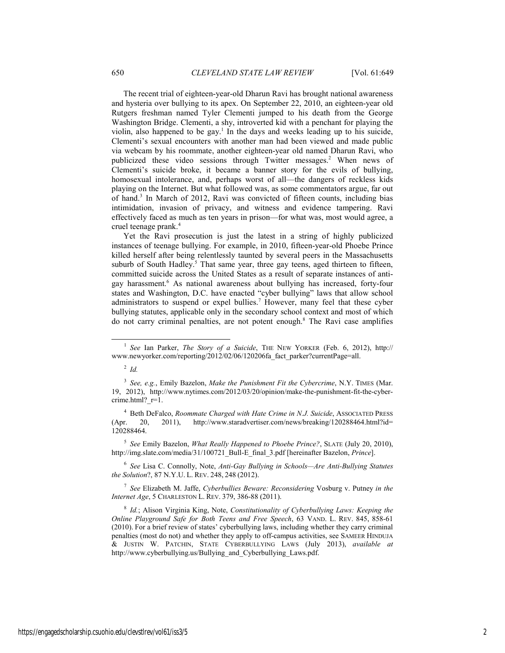The recent trial of eighteen-year-old Dharun Ravi has brought national awareness and hysteria over bullying to its apex. On September 22, 2010, an eighteen-year old Rutgers freshman named Tyler Clementi jumped to his death from the George Washington Bridge. Clementi, a shy, introverted kid with a penchant for playing the violin, also happened to be gay.<sup>1</sup> In the days and weeks leading up to his suicide, Clementi's sexual encounters with another man had been viewed and made public via webcam by his roommate, another eighteen-year old named Dharun Ravi, who publicized these video sessions through Twitter messages.<sup>2</sup> When news of Clementi's suicide broke, it became a banner story for the evils of bullying, homosexual intolerance, and, perhaps worst of all—the dangers of reckless kids playing on the Internet. But what followed was, as some commentators argue, far out of hand.<sup>3</sup> In March of 2012, Ravi was convicted of fifteen counts, including bias intimidation, invasion of privacy, and witness and evidence tampering. Ravi effectively faced as much as ten years in prison—for what was, most would agree, a cruel teenage prank.4

Yet the Ravi prosecution is just the latest in a string of highly publicized instances of teenage bullying. For example, in 2010, fifteen-year-old Phoebe Prince killed herself after being relentlessly taunted by several peers in the Massachusetts suburb of South Hadley.<sup>5</sup> That same year, three gay teens, aged thirteen to fifteen, committed suicide across the United States as a result of separate instances of antigay harassment.<sup>6</sup> As national awareness about bullying has increased, forty-four states and Washington, D.C. have enacted "cyber bullying" laws that allow school administrators to suspend or expel bullies.<sup>7</sup> However, many feel that these cyber bullying statutes, applicable only in the secondary school context and most of which do not carry criminal penalties, are not potent enough.<sup>8</sup> The Ravi case amplifies

4 Beth DeFalco, *Roommate Charged with Hate Crime in N.J. Suicide*, ASSOCIATED PRESS (Apr. 20, 2011), http://www.staradvertiser.com/news/breaking/120288464.html?id= 120288464.

<sup>5</sup> *See* Emily Bazelon, *What Really Happened to Phoebe Prince?*, SLATE (July 20, 2010), http://img.slate.com/media/31/100721\_Bull-E\_final\_3.pdf [hereinafter Bazelon, *Prince*].

<sup>6</sup> *See* Lisa C. Connolly, Note, *Anti-Gay Bullying in Schools—Are Anti-Bullying Statutes the Solution*?, 87 N.Y.U. L. REV. 248, 248 (2012).

<sup>7</sup> *See* Elizabeth M. Jaffe, *Cyberbullies Beware: Reconsidering* Vosburg v. Putney *in the Internet Age*, 5 CHARLESTON L. REV. 379, 386-88 (2011).

 <sup>1</sup> *See* Ian Parker, *The Story of a Suicide*, THE NEW YORKER (Feb. 6, 2012), http:// www.newyorker.com/reporting/2012/02/06/120206fa\_fact\_parker?currentPage=all.

<sup>2</sup> *Id.* 

<sup>3</sup> *See, e.g.*, Emily Bazelon, *Make the Punishment Fit the Cybercrime*, N.Y. TIMES (Mar. 19, 2012), http://www.nytimes.com/2012/03/20/opinion/make-the-punishment-fit-the-cybercrime.html? r=1.

<sup>8</sup> *Id.*; Alison Virginia King, Note, *Constitutionality of Cyberbullying Laws: Keeping the Online Playground Safe for Both Teens and Free Speech*, 63 VAND. L. REV. 845, 858-61 (2010). For a brief review of states' cyberbullying laws, including whether they carry criminal penalties (most do not) and whether they apply to off-campus activities, see SAMEER HINDUJA & JUSTIN W. PATCHIN, STATE CYBERBULLYING LAWS (July 2013), *available at* http://www.cyberbullying.us/Bullying\_and\_Cyberbullying\_Laws.pdf.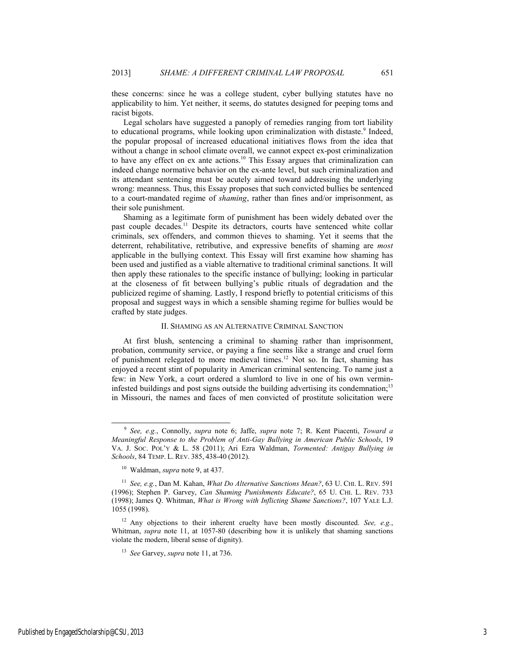these concerns: since he was a college student, cyber bullying statutes have no applicability to him. Yet neither, it seems, do statutes designed for peeping toms and racist bigots.

Legal scholars have suggested a panoply of remedies ranging from tort liability to educational programs, while looking upon criminalization with distaste.<sup>9</sup> Indeed, the popular proposal of increased educational initiatives flows from the idea that without a change in school climate overall, we cannot expect ex-post criminalization to have any effect on ex ante actions.10 This Essay argues that criminalization can indeed change normative behavior on the ex-ante level, but such criminalization and its attendant sentencing must be acutely aimed toward addressing the underlying wrong: meanness. Thus, this Essay proposes that such convicted bullies be sentenced to a court-mandated regime of *shaming*, rather than fines and/or imprisonment, as their sole punishment.

Shaming as a legitimate form of punishment has been widely debated over the past couple decades.<sup>11</sup> Despite its detractors, courts have sentenced white collar criminals, sex offenders, and common thieves to shaming. Yet it seems that the deterrent, rehabilitative, retributive, and expressive benefits of shaming are *most*  applicable in the bullying context. This Essay will first examine how shaming has been used and justified as a viable alternative to traditional criminal sanctions. It will then apply these rationales to the specific instance of bullying; looking in particular at the closeness of fit between bullying's public rituals of degradation and the publicized regime of shaming. Lastly, I respond briefly to potential criticisms of this proposal and suggest ways in which a sensible shaming regime for bullies would be crafted by state judges.

#### II. SHAMING AS AN ALTERNATIVE CRIMINAL SANCTION

At first blush, sentencing a criminal to shaming rather than imprisonment, probation, community service, or paying a fine seems like a strange and cruel form of punishment relegated to more medieval times.12 Not so. In fact, shaming has enjoyed a recent stint of popularity in American criminal sentencing. To name just a few: in New York, a court ordered a slumlord to live in one of his own vermininfested buildings and post signs outside the building advertising its condemnation;<sup>13</sup> in Missouri, the names and faces of men convicted of prostitute solicitation were

Published by EngagedScholarship@CSU, 2013 3

 <sup>9</sup> *See, e.g.*, Connolly, *supra* note 6; Jaffe, *supra* note 7; R. Kent Piacenti, *Toward a Meaningful Response to the Problem of Anti-Gay Bullying in American Public Schools*, 19 VA. J. SOC. POL'Y & L. 58 (2011); Ari Ezra Waldman, *Tormented: Antigay Bullying in Schools*, 84 TEMP. L. REV. 385, 438-40 (2012).

<sup>10</sup> Waldman, *supra* note 9, at 437.

<sup>11</sup> *See, e.g.*, Dan M. Kahan, *What Do Alternative Sanctions Mean?*, 63 U. CHI. L. REV. 591 (1996); Stephen P. Garvey, *Can Shaming Punishments Educate?*, 65 U. CHI. L. REV. 733 (1998); James Q. Whitman, *What is Wrong with Inflicting Shame Sanctions?*, 107 YALE L.J. 1055 (1998).

<sup>12</sup> Any objections to their inherent cruelty have been mostly discounted. *See, e.g.*, Whitman, *supra* note 11, at 1057-80 (describing how it is unlikely that shaming sanctions violate the modern, liberal sense of dignity).

<sup>13</sup> *See* Garvey, *supra* note 11, at 736.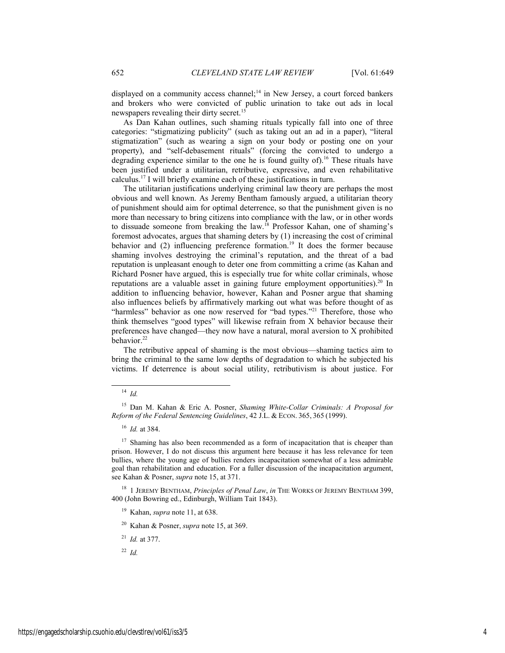displayed on a community access channel;<sup>14</sup> in New Jersey, a court forced bankers and brokers who were convicted of public urination to take out ads in local newspapers revealing their dirty secret.<sup>15</sup>

As Dan Kahan outlines, such shaming rituals typically fall into one of three categories: "stigmatizing publicity" (such as taking out an ad in a paper), "literal stigmatization" (such as wearing a sign on your body or posting one on your property), and "self-debasement rituals" (forcing the convicted to undergo a degrading experience similar to the one he is found guilty of).<sup>16</sup> These rituals have been justified under a utilitarian, retributive, expressive, and even rehabilitative calculus.17 I will briefly examine each of these justifications in turn.

The utilitarian justifications underlying criminal law theory are perhaps the most obvious and well known. As Jeremy Bentham famously argued, a utilitarian theory of punishment should aim for optimal deterrence, so that the punishment given is no more than necessary to bring citizens into compliance with the law, or in other words to dissuade someone from breaking the law.<sup>18</sup> Professor Kahan, one of shaming's foremost advocates, argues that shaming deters by (1) increasing the cost of criminal behavior and  $(2)$  influencing preference formation.<sup>19</sup> It does the former because shaming involves destroying the criminal's reputation, and the threat of a bad reputation is unpleasant enough to deter one from committing a crime (as Kahan and Richard Posner have argued, this is especially true for white collar criminals, whose reputations are a valuable asset in gaining future employment opportunities).<sup>20</sup> In addition to influencing behavior, however, Kahan and Posner argue that shaming also influences beliefs by affirmatively marking out what was before thought of as "harmless" behavior as one now reserved for "bad types."<sup>21</sup> Therefore, those who think themselves "good types" will likewise refrain from X behavior because their preferences have changed—they now have a natural, moral aversion to X prohibited behavior.<sup>22</sup>

The retributive appeal of shaming is the most obvious—shaming tactics aim to bring the criminal to the same low depths of degradation to which he subjected his victims. If deterrence is about social utility, retributivism is about justice. For

 <sup>14</sup> *Id.*

<sup>15</sup> Dan M. Kahan & Eric A. Posner, *Shaming White-Collar Criminals: A Proposal for Reform of the Federal Sentencing Guidelines*, 42 J.L. & ECON. 365, 365 (1999).

<sup>16</sup> *Id.* at 384.

<sup>&</sup>lt;sup>17</sup> Shaming has also been recommended as a form of incapacitation that is cheaper than prison. However, I do not discuss this argument here because it has less relevance for teen bullies, where the young age of bullies renders incapacitation somewhat of a less admirable goal than rehabilitation and education. For a fuller discussion of the incapacitation argument, see Kahan & Posner, *supra* note 15, at 371.

<sup>18 1</sup> JEREMY BENTHAM, *Principles of Penal Law*, *in* THE WORKS OF JEREMY BENTHAM 399, 400 (John Bowring ed., Edinburgh, William Tait 1843).

<sup>19</sup> Kahan, *supra* note 11, at 638.

<sup>20</sup> Kahan & Posner, *supra* note 15, at 369.

<sup>21</sup> *Id.* at 377.

 $22$  *Id.*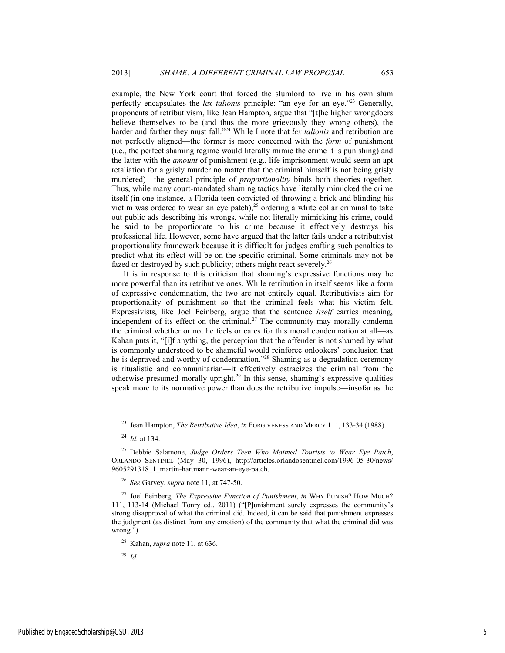example, the New York court that forced the slumlord to live in his own slum perfectly encapsulates the *lex talionis* principle: "an eye for an eye."23 Generally, proponents of retributivism, like Jean Hampton, argue that "[t]he higher wrongdoers believe themselves to be (and thus the more grievously they wrong others), the harder and farther they must fall."<sup>24</sup> While I note that *lex talionis* and retribution are not perfectly aligned—the former is more concerned with the *form* of punishment (i.e., the perfect shaming regime would literally mimic the crime it is punishing) and the latter with the *amount* of punishment (e.g., life imprisonment would seem an apt retaliation for a grisly murder no matter that the criminal himself is not being grisly murdered)—the general principle of *proportionality* binds both theories together. Thus, while many court-mandated shaming tactics have literally mimicked the crime itself (in one instance, a Florida teen convicted of throwing a brick and blinding his victim was ordered to wear an eye patch), $25$  ordering a white collar criminal to take out public ads describing his wrongs, while not literally mimicking his crime, could be said to be proportionate to his crime because it effectively destroys his professional life. However, some have argued that the latter fails under a retributivist proportionality framework because it is difficult for judges crafting such penalties to predict what its effect will be on the specific criminal. Some criminals may not be fazed or destroyed by such publicity; others might react severely.<sup>26</sup>

It is in response to this criticism that shaming's expressive functions may be more powerful than its retributive ones. While retribution in itself seems like a form of expressive condemnation, the two are not entirely equal. Retributivists aim for proportionality of punishment so that the criminal feels what his victim felt. Expressivists, like Joel Feinberg, argue that the sentence *itself* carries meaning, independent of its effect on the criminal.<sup>27</sup> The community may morally condemn the criminal whether or not he feels or cares for this moral condemnation at all—as Kahan puts it, "[i]f anything, the perception that the offender is not shamed by what is commonly understood to be shameful would reinforce onlookers' conclusion that he is depraved and worthy of condemnation."28 Shaming as a degradation ceremony is ritualistic and communitarian—it effectively ostracizes the criminal from the otherwise presumed morally upright.29 In this sense, shaming's expressive qualities speak more to its normative power than does the retributive impulse—insofar as the

<sup>&</sup>lt;sup>23</sup> Jean Hampton, *The Retributive Idea*, *in* FORGIVENESS AND MERCY 111, 133-34 (1988).

<sup>24</sup> *Id.* at 134.

<sup>25</sup> Debbie Salamone, *Judge Orders Teen Who Maimed Tourists to Wear Eye Patch*, ORLANDO SENTINEL (May 30, 1996), http://articles.orlandosentinel.com/1996-05-30/news/ 9605291318\_1\_martin-hartmann-wear-an-eye-patch.

<sup>26</sup> *See* Garvey, *supra* note 11, at 747-50.

<sup>27</sup> Joel Feinberg, *The Expressive Function of Punishment*, *in* WHY PUNISH? HOW MUCH? 111, 113-14 (Michael Tonry ed., 2011) ("[P]unishment surely expresses the community's strong disapproval of what the criminal did. Indeed, it can be said that punishment expresses the judgment (as distinct from any emotion) of the community that what the criminal did was wrong.").

<sup>28</sup> Kahan, *supra* note 11, at 636.

<sup>29</sup> *Id.*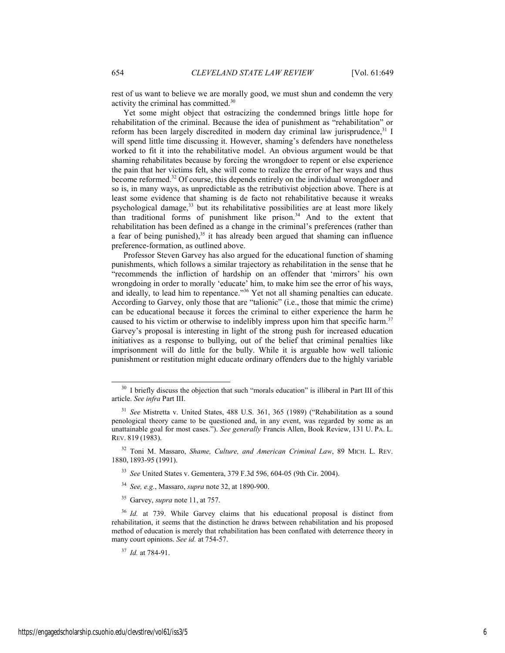rest of us want to believe we are morally good, we must shun and condemn the very activity the criminal has committed.30

Yet some might object that ostracizing the condemned brings little hope for rehabilitation of the criminal. Because the idea of punishment as "rehabilitation" or reform has been largely discredited in modern day criminal law jurisprudence, $31$  I will spend little time discussing it. However, shaming's defenders have nonetheless worked to fit it into the rehabilitative model. An obvious argument would be that shaming rehabilitates because by forcing the wrongdoer to repent or else experience the pain that her victims felt, she will come to realize the error of her ways and thus become reformed.32 Of course, this depends entirely on the individual wrongdoer and so is, in many ways, as unpredictable as the retributivist objection above. There is at least some evidence that shaming is de facto not rehabilitative because it wreaks psychological damage,<sup>33</sup> but its rehabilitative possibilities are at least more likely than traditional forms of punishment like prison.34 And to the extent that rehabilitation has been defined as a change in the criminal's preferences (rather than a fear of being punished),<sup>35</sup> it has already been argued that shaming can influence preference-formation, as outlined above.

Professor Steven Garvey has also argued for the educational function of shaming punishments, which follows a similar trajectory as rehabilitation in the sense that he "recommends the infliction of hardship on an offender that 'mirrors' his own wrongdoing in order to morally 'educate' him, to make him see the error of his ways, and ideally, to lead him to repentance."36 Yet not all shaming penalties can educate. According to Garvey, only those that are "talionic" (i.e., those that mimic the crime) can be educational because it forces the criminal to either experience the harm he caused to his victim or otherwise to indelibly impress upon him that specific harm.<sup>37</sup> Garvey's proposal is interesting in light of the strong push for increased education initiatives as a response to bullying, out of the belief that criminal penalties like imprisonment will do little for the bully. While it is arguable how well talionic punishment or restitution might educate ordinary offenders due to the highly variable

<sup>&</sup>lt;sup>30</sup> I briefly discuss the objection that such "morals education" is illiberal in Part III of this article. *See infra* Part III.

<sup>31</sup> *See* Mistretta v. United States, 488 U.S. 361, 365 (1989) ("Rehabilitation as a sound penological theory came to be questioned and, in any event, was regarded by some as an unattainable goal for most cases."). *See generally* Francis Allen, Book Review, 131 U. PA. L. REV. 819 (1983).

<sup>32</sup> Toni M. Massaro, *Shame, Culture, and American Criminal Law*, 89 MICH. L. REV. 1880, 1893-95 (1991).

<sup>33</sup> *See* United States v. Gementera, 379 F.3d 596, 604-05 (9th Cir. 2004).

<sup>34</sup> *See, e.g.*, Massaro, *supra* note 32, at 1890-900.

<sup>35</sup> Garvey, *supra* note 11, at 757.

<sup>&</sup>lt;sup>36</sup> *Id.* at 739. While Garvey claims that his educational proposal is distinct from rehabilitation, it seems that the distinction he draws between rehabilitation and his proposed method of education is merely that rehabilitation has been conflated with deterrence theory in many court opinions. *See id.* at 754-57.

<sup>37</sup> *Id.* at 784-91.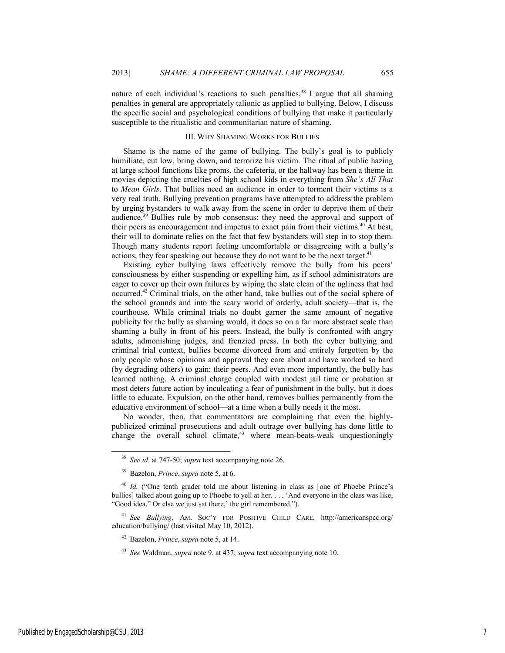nature of each individual's reactions to such penalties,<sup>38</sup> I argue that all shaming penalties in general are appropriately talionic as applied to bullying. Below, I discuss the specific social and psychological conditions of bullying that make it particularly susceptible to the ritualistic and communitarian nature of shaming.

# III. WHY SHAMING WORKS FOR BULLIES

Shame is the name of the game of bullying. The bully's goal is to publicly humiliate, cut low, bring down, and terrorize his victim. The ritual of public hazing at large school functions like proms, the cafeteria, or the hallway has been a theme in movies depicting the cruelties of high school kids in everything from *She's All That*  to *Mean Girls*. That bullies need an audience in order to torment their victims is a very real truth. Bullying prevention programs have attempted to address the problem by urging bystanders to walk away from the scene in order to deprive them of their audience.39 Bullies rule by mob consensus: they need the approval and support of their peers as encouragement and impetus to exact pain from their victims.<sup>40</sup> At best, their will to dominate relies on the fact that few bystanders will step in to stop them. Though many students report feeling uncomfortable or disagreeing with a bully's actions, they fear speaking out because they do not want to be the next target.<sup>41</sup>

Existing cyber bullying laws effectively remove the bully from his peers' consciousness by either suspending or expelling him, as if school administrators are eager to cover up their own failures by wiping the slate clean of the ugliness that had occurred.42 Criminal trials, on the other hand, take bullies out of the social sphere of the school grounds and into the scary world of orderly, adult society—that is, the courthouse. While criminal trials no doubt garner the same amount of negative publicity for the bully as shaming would, it does so on a far more abstract scale than shaming a bully in front of his peers. Instead, the bully is confronted with angry adults, admonishing judges, and frenzied press. In both the cyber bullying and criminal trial context, bullies become divorced from and entirely forgotten by the only people whose opinions and approval they care about and have worked so hard (by degrading others) to gain: their peers. And even more importantly, the bully has learned nothing. A criminal charge coupled with modest jail time or probation at most deters future action by inculcating a fear of punishment in the bully, but it does little to educate. Expulsion, on the other hand, removes bullies permanently from the educative environment of school—at a time when a bully needs it the most.

No wonder, then, that commentators are complaining that even the highlypublicized criminal prosecutions and adult outrage over bullying has done little to change the overall school climate, $43$  where mean-beats-weak unquestioningly

 <sup>38</sup> *See id.* at 747-50; *supra* text accompanying note 26.

<sup>39</sup> Bazelon, *Prince*, *supra* note 5, at 6.

<sup>&</sup>lt;sup>40</sup> *Id.* ("One tenth grader told me about listening in class as [one of Phoebe Prince's bullies] talked about going up to Phoebe to yell at her. . . . 'And everyone in the class was like, "Good idea." Or else we just sat there,' the girl remembered.").

<sup>41</sup> *See Bullying*, AM. SOC'Y FOR POSITIVE CHILD CARE, http://americanspcc.org/ education/bullying/ (last visited May 10, 2012).

<sup>42</sup> Bazelon, *Prince*, *supra* note 5, at 14.

<sup>43</sup> *See* Waldman, *supra* note 9, at 437; *supra* text accompanying note 10.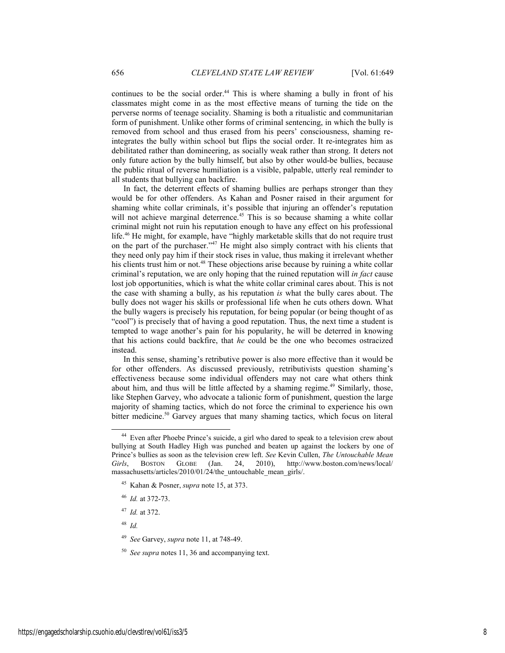continues to be the social order.<sup>44</sup> This is where shaming a bully in front of his classmates might come in as the most effective means of turning the tide on the perverse norms of teenage sociality. Shaming is both a ritualistic and communitarian form of punishment. Unlike other forms of criminal sentencing, in which the bully is removed from school and thus erased from his peers' consciousness, shaming reintegrates the bully within school but flips the social order. It re-integrates him as debilitated rather than domineering, as socially weak rather than strong. It deters not only future action by the bully himself, but also by other would-be bullies, because the public ritual of reverse humiliation is a visible, palpable, utterly real reminder to all students that bullying can backfire.

In fact, the deterrent effects of shaming bullies are perhaps stronger than they would be for other offenders. As Kahan and Posner raised in their argument for shaming white collar criminals, it's possible that injuring an offender's reputation will not achieve marginal deterrence.<sup>45</sup> This is so because shaming a white collar criminal might not ruin his reputation enough to have any effect on his professional life.<sup>46</sup> He might, for example, have "highly marketable skills that do not require trust on the part of the purchaser.<sup>247</sup> He might also simply contract with his clients that they need only pay him if their stock rises in value, thus making it irrelevant whether his clients trust him or not.<sup>48</sup> These objections arise because by ruining a white collar criminal's reputation, we are only hoping that the ruined reputation will *in fact* cause lost job opportunities, which is what the white collar criminal cares about. This is not the case with shaming a bully, as his reputation *is* what the bully cares about. The bully does not wager his skills or professional life when he cuts others down. What the bully wagers is precisely his reputation, for being popular (or being thought of as "cool") is precisely that of having a good reputation. Thus, the next time a student is tempted to wage another's pain for his popularity, he will be deterred in knowing that his actions could backfire, that *he* could be the one who becomes ostracized instead.

In this sense, shaming's retributive power is also more effective than it would be for other offenders. As discussed previously, retributivists question shaming's effectiveness because some individual offenders may not care what others think about him, and thus will be little affected by a shaming regime.<sup>49</sup> Similarly, those, like Stephen Garvey, who advocate a talionic form of punishment, question the large majority of shaming tactics, which do not force the criminal to experience his own bitter medicine.<sup>50</sup> Garvey argues that many shaming tactics, which focus on literal

- <sup>46</sup> *Id.* at 372-73.
- <sup>47</sup> *Id.* at 372.

<sup>48</sup> *Id.* 

 <sup>44</sup> Even after Phoebe Prince's suicide, a girl who dared to speak to a television crew about bullying at South Hadley High was punched and beaten up against the lockers by one of Prince's bullies as soon as the television crew left. *See* Kevin Cullen, *The Untouchable Mean Girls*, BOSTON GLOBE (Jan. 24, 2010), http://www.boston.com/news/local/ massachusetts/articles/2010/01/24/the\_untouchable\_mean\_girls/.

<sup>45</sup> Kahan & Posner, *supra* note 15, at 373.

<sup>49</sup> *See* Garvey, *supra* note 11, at 748-49.

<sup>50</sup> *See supra* notes 11, 36 and accompanying text.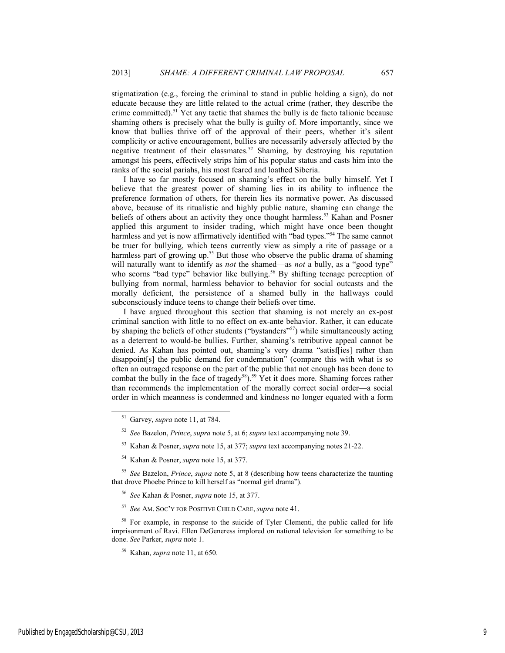stigmatization (e.g., forcing the criminal to stand in public holding a sign), do not educate because they are little related to the actual crime (rather, they describe the crime committed).51 Yet any tactic that shames the bully is de facto talionic because shaming others is precisely what the bully is guilty of. More importantly, since we know that bullies thrive off of the approval of their peers, whether it's silent complicity or active encouragement, bullies are necessarily adversely affected by the negative treatment of their classmates.52 Shaming, by destroying his reputation amongst his peers, effectively strips him of his popular status and casts him into the ranks of the social pariahs, his most feared and loathed Siberia.

I have so far mostly focused on shaming's effect on the bully himself. Yet I believe that the greatest power of shaming lies in its ability to influence the preference formation of others, for therein lies its normative power. As discussed above, because of its ritualistic and highly public nature, shaming can change the beliefs of others about an activity they once thought harmless.<sup>53</sup> Kahan and Posner applied this argument to insider trading, which might have once been thought harmless and yet is now affirmatively identified with "bad types."<sup>54</sup> The same cannot be truer for bullying, which teens currently view as simply a rite of passage or a harmless part of growing up.<sup>55</sup> But those who observe the public drama of shaming will naturally want to identify as *not* the shamed—as *not* a bully, as a "good type" who scorns "bad type" behavior like bullying.<sup>56</sup> By shifting teenage perception of bullying from normal, harmless behavior to behavior for social outcasts and the morally deficient, the persistence of a shamed bully in the hallways could subconsciously induce teens to change their beliefs over time.

I have argued throughout this section that shaming is not merely an ex-post criminal sanction with little to no effect on ex-ante behavior. Rather, it can educate by shaping the beliefs of other students ("bystanders"<sup>57</sup>) while simultaneously acting as a deterrent to would-be bullies. Further, shaming's retributive appeal cannot be denied. As Kahan has pointed out, shaming's very drama "satisf[ies] rather than disappoint[s] the public demand for condemnation" (compare this with what is so often an outraged response on the part of the public that not enough has been done to combat the bully in the face of tragedy<sup>58</sup>).<sup>59</sup> Yet it does more. Shaming forces rather than recommends the implementation of the morally correct social order—a social order in which meanness is condemned and kindness no longer equated with a form

- 53 Kahan & Posner, *supra* note 15, at 377; *supra* text accompanying notes 21-22.
- 54 Kahan & Posner, *supra* note 15, at 377.

<sup>55</sup> *See* Bazelon, *Prince*, *supra* note 5, at 8 (describing how teens characterize the taunting that drove Phoebe Prince to kill herself as "normal girl drama").

- <sup>56</sup> *See* Kahan & Posner, *supra* note 15, at 377.
- <sup>57</sup> *See* AM. SOC'Y FOR POSITIVE CHILD CARE, *supra* note 41.

<sup>58</sup> For example, in response to the suicide of Tyler Clementi, the public called for life imprisonment of Ravi. Ellen DeGeneress implored on national television for something to be done. *See* Parker, *supra* note 1.

Published by EngagedScholarship@CSU, 2013 9

 <sup>51</sup> Garvey, *supra* note 11, at 784.

<sup>52</sup> *See* Bazelon, *Prince*, *supra* note 5, at 6; *supra* text accompanying note 39.

<sup>59</sup> Kahan, *supra* note 11, at 650.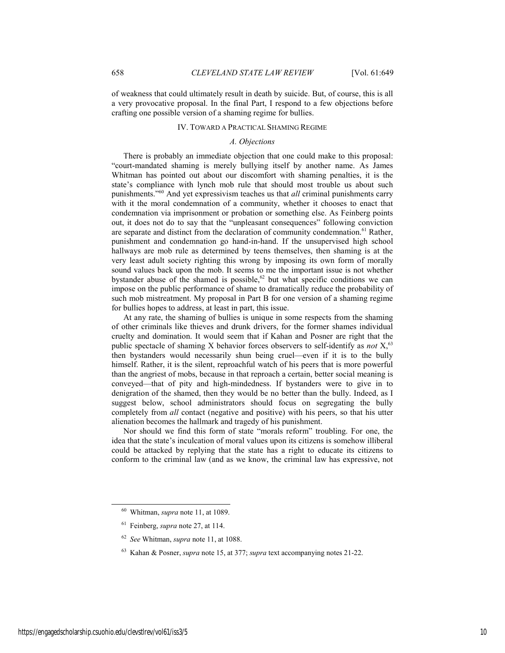of weakness that could ultimately result in death by suicide. But, of course, this is all a very provocative proposal. In the final Part, I respond to a few objections before crafting one possible version of a shaming regime for bullies.

#### IV. TOWARD A PRACTICAL SHAMING REGIME

## *A. Objections*

There is probably an immediate objection that one could make to this proposal: "court-mandated shaming is merely bullying itself by another name. As James Whitman has pointed out about our discomfort with shaming penalties, it is the state's compliance with lynch mob rule that should most trouble us about such punishments."60 And yet expressivism teaches us that *all* criminal punishments carry with it the moral condemnation of a community, whether it chooses to enact that condemnation via imprisonment or probation or something else. As Feinberg points out, it does not do to say that the "unpleasant consequences" following conviction are separate and distinct from the declaration of community condemnation.<sup>61</sup> Rather, punishment and condemnation go hand-in-hand. If the unsupervised high school hallways are mob rule as determined by teens themselves, then shaming is at the very least adult society righting this wrong by imposing its own form of morally sound values back upon the mob. It seems to me the important issue is not whether bystander abuse of the shamed is possible,<sup>62</sup> but what specific conditions we can impose on the public performance of shame to dramatically reduce the probability of such mob mistreatment. My proposal in Part B for one version of a shaming regime for bullies hopes to address, at least in part, this issue.

At any rate, the shaming of bullies is unique in some respects from the shaming of other criminals like thieves and drunk drivers, for the former shames individual cruelty and domination. It would seem that if Kahan and Posner are right that the public spectacle of shaming X behavior forces observers to self-identify as *not* X,63 then bystanders would necessarily shun being cruel—even if it is to the bully himself. Rather, it is the silent, reproachful watch of his peers that is more powerful than the angriest of mobs, because in that reproach a certain, better social meaning is conveyed—that of pity and high-mindedness. If bystanders were to give in to denigration of the shamed, then they would be no better than the bully. Indeed, as I suggest below, school administrators should focus on segregating the bully completely from *all* contact (negative and positive) with his peers, so that his utter alienation becomes the hallmark and tragedy of his punishment.

Nor should we find this form of state "morals reform" troubling. For one, the idea that the state's inculcation of moral values upon its citizens is somehow illiberal could be attacked by replying that the state has a right to educate its citizens to conform to the criminal law (and as we know, the criminal law has expressive, not

 <sup>60</sup> Whitman, *supra* note 11, at 1089.

<sup>61</sup> Feinberg, *supra* note 27, at 114.

<sup>62</sup> *See* Whitman, *supra* note 11, at 1088.

<sup>63</sup> Kahan & Posner, *supra* note 15, at 377; *supra* text accompanying notes 21-22.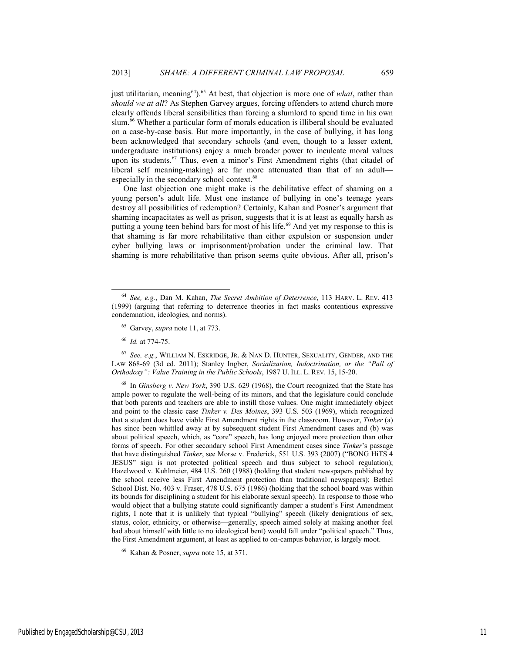just utilitarian, meaning<sup>64</sup>).<sup>65</sup> At best, that objection is more one of *what*, rather than *should we at all*? As Stephen Garvey argues, forcing offenders to attend church more clearly offends liberal sensibilities than forcing a slumlord to spend time in his own slum.<sup>66</sup> Whether a particular form of morals education is illiberal should be evaluated on a case-by-case basis. But more importantly, in the case of bullying, it has long been acknowledged that secondary schools (and even, though to a lesser extent, undergraduate institutions) enjoy a much broader power to inculcate moral values upon its students.<sup>67</sup> Thus, even a minor's First Amendment rights (that citadel of liberal self meaning-making) are far more attenuated than that of an adult especially in the secondary school context.<sup>68</sup>

One last objection one might make is the debilitative effect of shaming on a young person's adult life. Must one instance of bullying in one's teenage years destroy all possibilities of redemption? Certainly, Kahan and Posner's argument that shaming incapacitates as well as prison, suggests that it is at least as equally harsh as putting a young teen behind bars for most of his life.<sup>69</sup> And yet my response to this is that shaming is far more rehabilitative than either expulsion or suspension under cyber bullying laws or imprisonment/probation under the criminal law. That shaming is more rehabilitative than prison seems quite obvious. After all, prison's

<sup>67</sup> *See, e.g.*, WILLIAM N. ESKRIDGE, JR. & NAN D. HUNTER, SEXUALITY, GENDER, AND THE LAW 868-69 (3d ed. 2011); Stanley Ingber, *Socialization, Indoctrination, or the "Pall of Orthodoxy": Value Training in the Public Schools*, 1987 U. ILL. L. REV. 15, 15-20.

68 In *Ginsberg v. New York*, 390 U.S. 629 (1968), the Court recognized that the State has ample power to regulate the well-being of its minors, and that the legislature could conclude that both parents and teachers are able to instill those values. One might immediately object and point to the classic case *Tinker v. Des Moines*, 393 U.S. 503 (1969), which recognized that a student does have viable First Amendment rights in the classroom. However, *Tinker* (a) has since been whittled away at by subsequent student First Amendment cases and (b) was about political speech, which, as "core" speech, has long enjoyed more protection than other forms of speech. For other secondary school First Amendment cases since *Tinker*'s passage that have distinguished *Tinker*, see Morse v. Frederick, 551 U.S. 393 (2007) ("BONG HiTS 4 JESUS" sign is not protected political speech and thus subject to school regulation); Hazelwood v. Kuhlmeier, 484 U.S. 260 (1988) (holding that student newspapers published by the school receive less First Amendment protection than traditional newspapers); Bethel School Dist. No. 403 v. Fraser, 478 U.S. 675 (1986) (holding that the school board was within its bounds for disciplining a student for his elaborate sexual speech). In response to those who would object that a bullying statute could significantly damper a student's First Amendment rights, I note that it is unlikely that typical "bullying" speech (likely denigrations of sex, status, color, ethnicity, or otherwise—generally, speech aimed solely at making another feel bad about himself with little to no ideological bent) would fall under "political speech." Thus, the First Amendment argument, at least as applied to on-campus behavior, is largely moot.

69 Kahan & Posner, *supra* note 15, at 371.

 <sup>64</sup> *See, e.g.*, Dan M. Kahan, *The Secret Ambition of Deterrence*, 113 HARV. L. REV. <sup>413</sup> (1999) (arguing that referring to deterrence theories in fact masks contentious expressive condemnation, ideologies, and norms).

<sup>65</sup> Garvey, *supra* note 11, at 773.

<sup>66</sup> *Id.* at 774-75.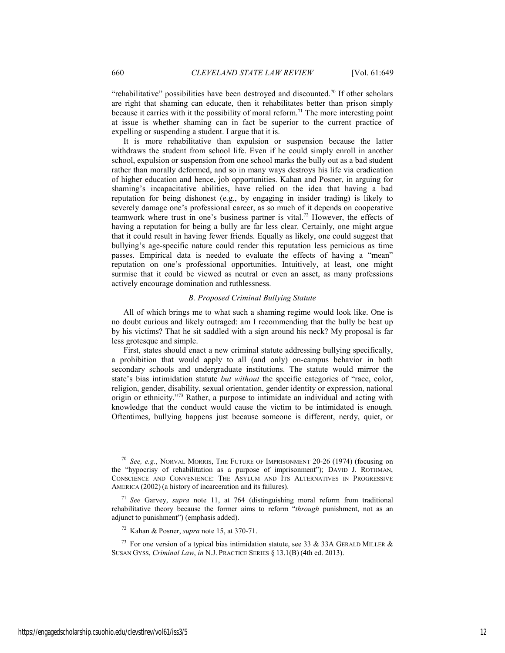"rehabilitative" possibilities have been destroyed and discounted.<sup>70</sup> If other scholars are right that shaming can educate, then it rehabilitates better than prison simply because it carries with it the possibility of moral reform.<sup>71</sup> The more interesting point at issue is whether shaming can in fact be superior to the current practice of expelling or suspending a student. I argue that it is.

It is more rehabilitative than expulsion or suspension because the latter withdraws the student from school life. Even if he could simply enroll in another school, expulsion or suspension from one school marks the bully out as a bad student rather than morally deformed, and so in many ways destroys his life via eradication of higher education and hence, job opportunities. Kahan and Posner, in arguing for shaming's incapacitative abilities, have relied on the idea that having a bad reputation for being dishonest (e.g., by engaging in insider trading) is likely to severely damage one's professional career, as so much of it depends on cooperative teamwork where trust in one's business partner is vital.<sup>72</sup> However, the effects of having a reputation for being a bully are far less clear. Certainly, one might argue that it could result in having fewer friends. Equally as likely, one could suggest that bullying's age-specific nature could render this reputation less pernicious as time passes. Empirical data is needed to evaluate the effects of having a "mean" reputation on one's professional opportunities. Intuitively, at least, one might surmise that it could be viewed as neutral or even an asset, as many professions actively encourage domination and ruthlessness.

#### *B. Proposed Criminal Bullying Statute*

All of which brings me to what such a shaming regime would look like. One is no doubt curious and likely outraged: am I recommending that the bully be beat up by his victims? That he sit saddled with a sign around his neck? My proposal is far less grotesque and simple.

First, states should enact a new criminal statute addressing bullying specifically, a prohibition that would apply to all (and only) on-campus behavior in both secondary schools and undergraduate institutions. The statute would mirror the state's bias intimidation statute *but without* the specific categories of "race, color, religion, gender, disability, sexual orientation, gender identity or expression, national origin or ethnicity."73 Rather, a purpose to intimidate an individual and acting with knowledge that the conduct would cause the victim to be intimidated is enough. Oftentimes, bullying happens just because someone is different, nerdy, quiet, or

 <sup>70</sup> *See, e.g.*, NORVAL MORRIS, THE FUTURE OF IMPRISONMENT 20-26 (1974) (focusing on the "hypocrisy of rehabilitation as a purpose of imprisonment"); DAVID J. ROTHMAN, CONSCIENCE AND CONVENIENCE: THE ASYLUM AND ITS ALTERNATIVES IN PROGRESSIVE AMERICA (2002) (a history of incarceration and its failures).

<sup>71</sup> *See* Garvey, *supra* note 11, at 764 (distinguishing moral reform from traditional rehabilitative theory because the former aims to reform "*through* punishment, not as an adjunct to punishment") (emphasis added).

<sup>72</sup> Kahan & Posner, *supra* note 15, at 370-71.

<sup>&</sup>lt;sup>73</sup> For one version of a typical bias intimidation statute, see 33 & 33A GERALD MILLER & SUSAN GYSS, *Criminal Law*, *in* N.J. PRACTICE SERIES § 13.1(B) (4th ed. 2013).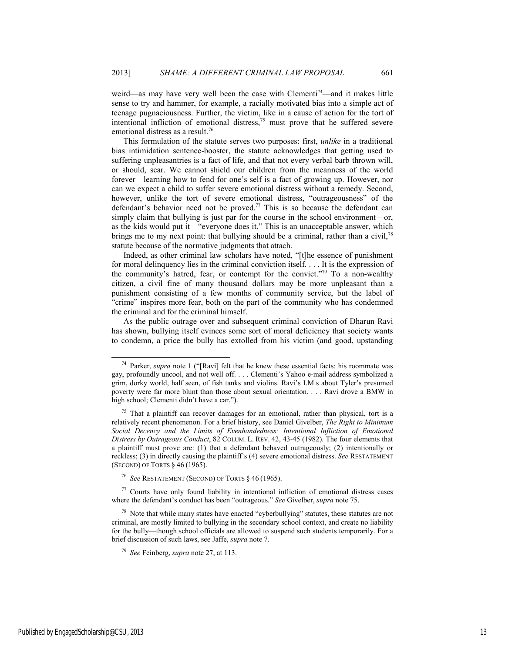weird—as may have very well been the case with Clementi<sup>74</sup>—and it makes little sense to try and hammer, for example, a racially motivated bias into a simple act of teenage pugnaciousness. Further, the victim, like in a cause of action for the tort of intentional infliction of emotional distress, $75$  must prove that he suffered severe emotional distress as a result.<sup>76</sup>

This formulation of the statute serves two purposes: first, *unlike* in a traditional bias intimidation sentence-booster, the statute acknowledges that getting used to suffering unpleasantries is a fact of life, and that not every verbal barb thrown will, or should, scar. We cannot shield our children from the meanness of the world forever—learning how to fend for one's self is a fact of growing up. However, nor can we expect a child to suffer severe emotional distress without a remedy. Second, however, unlike the tort of severe emotional distress, "outrageousness" of the defendant's behavior need not be proved.<sup>77</sup> This is so because the defendant can simply claim that bullying is just par for the course in the school environment—or, as the kids would put it—"everyone does it." This is an unacceptable answer, which brings me to my next point: that bullying should be a criminal, rather than a civil,<sup>78</sup> statute because of the normative judgments that attach.

Indeed, as other criminal law scholars have noted, "[t]he essence of punishment for moral delinquency lies in the criminal conviction itself. . . . It is the expression of the community's hatred, fear, or contempt for the convict."79 To a non-wealthy citizen, a civil fine of many thousand dollars may be more unpleasant than a punishment consisting of a few months of community service, but the label of "crime" inspires more fear, both on the part of the community who has condemned the criminal and for the criminal himself.

As the public outrage over and subsequent criminal conviction of Dharun Ravi has shown, bullying itself evinces some sort of moral deficiency that society wants to condemn, a price the bully has extolled from his victim (and good, upstanding

<sup>76</sup> *See* RESTATEMENT (SECOND) OF TORTS § 46 (1965).

 $77$  Courts have only found liability in intentional infliction of emotional distress cases where the defendant's conduct has been "outrageous." *See* Givelber, *supra* note 75.

Published by EngagedScholarship@CSU, 2013 13

 <sup>74</sup> Parker, *supra* note 1 ("[Ravi] felt that he knew these essential facts: his roommate was gay, profoundly uncool, and not well off. . . . Clementi's Yahoo e-mail address symbolized a grim, dorky world, half seen, of fish tanks and violins. Ravi's I.M.s about Tyler's presumed poverty were far more blunt than those about sexual orientation. . . . Ravi drove a BMW in high school; Clementi didn't have a car.").

 $75$  That a plaintiff can recover damages for an emotional, rather than physical, tort is a relatively recent phenomenon. For a brief history, see Daniel Givelber, *The Right to Minimum Social Decency and the Limits of Evenhandedness: Intentional Infliction of Emotional Distress by Outrageous Conduct*, 82 COLUM. L. REV. 42, 43-45 (1982). The four elements that a plaintiff must prove are: (1) that a defendant behaved outrageously; (2) intentionally or reckless; (3) in directly causing the plaintiff's (4) severe emotional distress. *See* RESTATEMENT (SECOND) OF TORTS § 46 (1965).

 $78$  Note that while many states have enacted "cyberbullying" statutes, these statutes are not criminal, are mostly limited to bullying in the secondary school context, and create no liability for the bully—though school officials are allowed to suspend such students temporarily. For a brief discussion of such laws, see Jaffe, *supra* note 7.

<sup>79</sup> *See* Feinberg, *supra* note 27, at 113.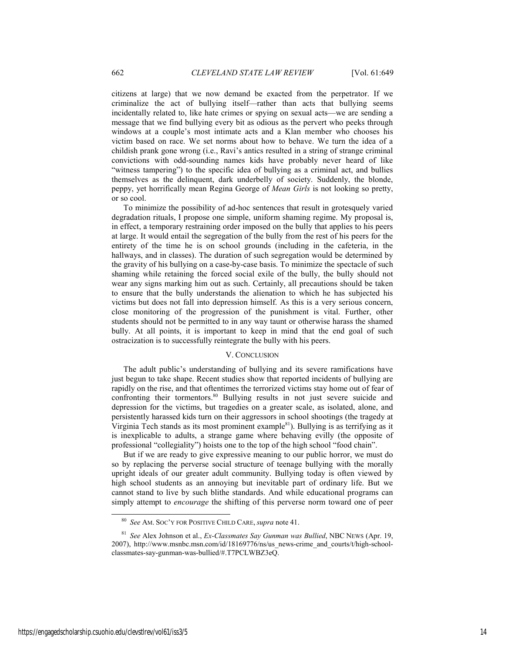citizens at large) that we now demand be exacted from the perpetrator. If we criminalize the act of bullying itself—rather than acts that bullying seems incidentally related to, like hate crimes or spying on sexual acts—we are sending a message that we find bullying every bit as odious as the pervert who peeks through windows at a couple's most intimate acts and a Klan member who chooses his victim based on race. We set norms about how to behave. We turn the idea of a childish prank gone wrong (i.e., Ravi's antics resulted in a string of strange criminal convictions with odd-sounding names kids have probably never heard of like "witness tampering") to the specific idea of bullying as a criminal act, and bullies themselves as the delinquent, dark underbelly of society. Suddenly, the blonde, peppy, yet horrifically mean Regina George of *Mean Girls* is not looking so pretty, or so cool.

To minimize the possibility of ad-hoc sentences that result in grotesquely varied degradation rituals, I propose one simple, uniform shaming regime. My proposal is, in effect, a temporary restraining order imposed on the bully that applies to his peers at large. It would entail the segregation of the bully from the rest of his peers for the entirety of the time he is on school grounds (including in the cafeteria, in the hallways, and in classes). The duration of such segregation would be determined by the gravity of his bullying on a case-by-case basis. To minimize the spectacle of such shaming while retaining the forced social exile of the bully, the bully should not wear any signs marking him out as such. Certainly, all precautions should be taken to ensure that the bully understands the alienation to which he has subjected his victims but does not fall into depression himself. As this is a very serious concern, close monitoring of the progression of the punishment is vital. Further, other students should not be permitted to in any way taunt or otherwise harass the shamed bully. At all points, it is important to keep in mind that the end goal of such ostracization is to successfully reintegrate the bully with his peers.

#### V. CONCLUSION

The adult public's understanding of bullying and its severe ramifications have just begun to take shape. Recent studies show that reported incidents of bullying are rapidly on the rise, and that oftentimes the terrorized victims stay home out of fear of confronting their tormentors.<sup>80</sup> Bullying results in not just severe suicide and depression for the victims, but tragedies on a greater scale, as isolated, alone, and persistently harassed kids turn on their aggressors in school shootings (the tragedy at Virginia Tech stands as its most prominent example $81$ ). Bullying is as terrifying as it is inexplicable to adults, a strange game where behaving evilly (the opposite of professional "collegiality") hoists one to the top of the high school "food chain".

But if we are ready to give expressive meaning to our public horror, we must do so by replacing the perverse social structure of teenage bullying with the morally upright ideals of our greater adult community. Bullying today is often viewed by high school students as an annoying but inevitable part of ordinary life. But we cannot stand to live by such blithe standards. And while educational programs can simply attempt to *encourage* the shifting of this perverse norm toward one of peer

 <sup>80</sup> *See* AM. SOC'Y FOR POSITIVE CHILD CARE, *supra* note 41.

<sup>81</sup> *See* Alex Johnson et al., *Ex-Classmates Say Gunman was Bullied*, NBC NEWS (Apr. 19, 2007), http://www.msnbc.msn.com/id/18169776/ns/us\_news-crime\_and\_courts/t/high-schoolclassmates-say-gunman-was-bullied/#.T7PCLWBZ3eQ.